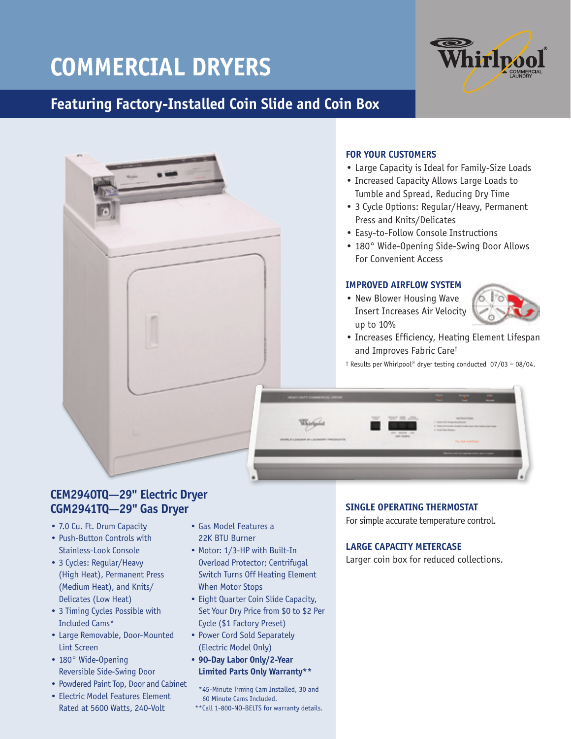# **COMMERCIAL DRYERS**

## **Featuring Factory-Installed Coin Slide and Coin Box**





### **FOR YOUR CUSTOMERS**

- Large Capacity is Ideal for Family-Size Loads
- Increased Capacity Allows Large Loads to Tumble and Spread, Reducing Dry Time
- 3 Cycle Options: Regular/Heavy, Permanent Press and Knits/Delicates
- Easy-to-Follow Console Instructions
- 180° Wide-Opening Side-Swing Door Allows For Convenient Access

#### **IMPROVED AIRFLOW SYSTEM**

• New Blower Housing Wave Insert Increases Air Velocity up to 10%



- Increases Efficiency, Heating Element Lifespan and Improves Fabric Care†
- † Results per Whirlpool® dryer testing conducted 07/03 08/04.



### **CEM2940TQ—29" Electric Dryer CGM2941TQ—29" Gas Dryer**

- 7.0 Cu. Ft. Drum Capacity
- Push-Button Controls with Stainless-Look Console
- 3 Cycles: Regular/Heavy (High Heat), Permanent Press (Medium Heat), and Knits/ Delicates (Low Heat)
- 3 Timing Cycles Possible with Included Cams\*
- Large Removable, Door-Mounted Lint Screen
- 180° Wide-Opening Reversible Side-Swing Door
- Powdered Paint Top, Door and Cabinet
- Electric Model Features Element Rated at 5600 Watts, 240-Volt
- Gas Model Features a 22K BTU Burner
- Motor: 1/3-HP with Built-In Overload Protector; Centrifugal Switch Turns Off Heating Element When Motor Stops
- Eight Quarter Coin Slide Capacity, Set Your Dry Price from \$0 to \$2 Per Cycle (\$1 Factory Preset)
- Power Cord Sold Separately (Electric Model Only)
- **90-Day Labor Only/2-Year Limited Parts Only Warranty\*\***

 \*45-Minute Timing Cam Installed, 30 and 60 Minute Cams Included.

\*\*Call 1-800-NO-BELTS for warranty details.

#### **SINGLE OPERATING THERMOSTAT**

For simple accurate temperature control.

#### **LARGE CAPACITY METERCASE**

Larger coin box for reduced collections.